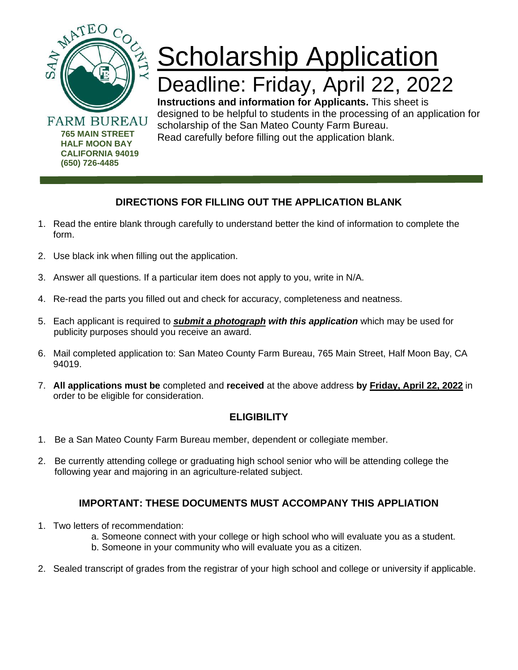

**(650) 726-4485**

# **Scholarship Application** Deadline: Friday, April 22, 2022

**Instructions and information for Applicants.** This sheet is designed to be helpful to students in the processing of an application for scholarship of the San Mateo County Farm Bureau. Read carefully before filling out the application blank.

## **DIRECTIONS FOR FILLING OUT THE APPLICATION BLANK**

- 1. Read the entire blank through carefully to understand better the kind of information to complete the form.
- 2. Use black ink when filling out the application.
- 3. Answer all questions. If a particular item does not apply to you, write in N/A.
- 4. Re-read the parts you filled out and check for accuracy, completeness and neatness.
- 5. Each applicant is required to *submit a photograph with this application* which may be used for publicity purposes should you receive an award.
- 6. Mail completed application to: San Mateo County Farm Bureau, 765 Main Street, Half Moon Bay, CA 94019.
- 7. **All applications must be** completed and **received** at the above address **by Friday, April 22, 2022** in order to be eligible for consideration.

### **ELIGIBILITY**

- 1. Be a San Mateo County Farm Bureau member, dependent or collegiate member.
- 2. Be currently attending college or graduating high school senior who will be attending college the following year and majoring in an agriculture-related subject.

### **IMPORTANT: THESE DOCUMENTS MUST ACCOMPANY THIS APPLIATION**

- 1. Two letters of recommendation:
	- a. Someone connect with your college or high school who will evaluate you as a student.
	- b. Someone in your community who will evaluate you as a citizen.
- 2. Sealed transcript of grades from the registrar of your high school and college or university if applicable.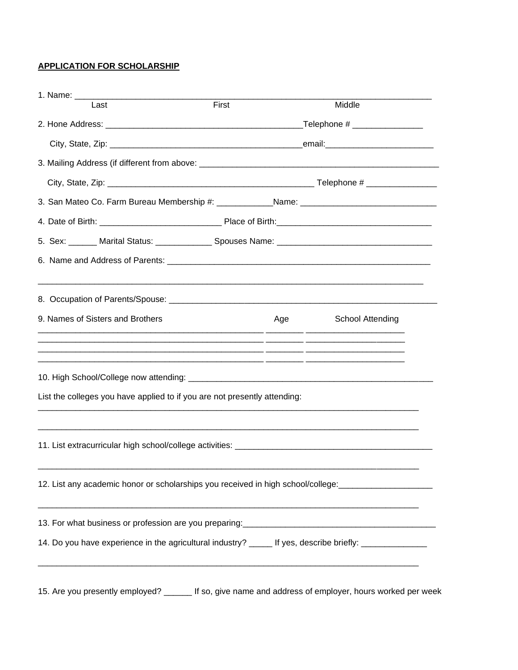#### **APPLICATION FOR SCHOLARSHIP**

| 1. Name: ________ |                                                                           |       |     |                                                                                                        |  |
|-------------------|---------------------------------------------------------------------------|-------|-----|--------------------------------------------------------------------------------------------------------|--|
|                   | Last                                                                      | First |     | Middle                                                                                                 |  |
|                   |                                                                           |       |     |                                                                                                        |  |
|                   |                                                                           |       |     |                                                                                                        |  |
|                   |                                                                           |       |     |                                                                                                        |  |
|                   |                                                                           |       |     |                                                                                                        |  |
|                   |                                                                           |       |     |                                                                                                        |  |
|                   |                                                                           |       |     |                                                                                                        |  |
|                   |                                                                           |       |     |                                                                                                        |  |
|                   |                                                                           |       |     |                                                                                                        |  |
|                   |                                                                           |       |     |                                                                                                        |  |
|                   | 9. Names of Sisters and Brothers                                          |       | Age | School Attending                                                                                       |  |
|                   | List the colleges you have applied to if you are not presently attending: |       |     |                                                                                                        |  |
|                   |                                                                           |       |     |                                                                                                        |  |
|                   |                                                                           |       |     | 12. List any academic honor or scholarships you received in high school/college:                       |  |
|                   |                                                                           |       |     |                                                                                                        |  |
|                   |                                                                           |       |     | 14. Do you have experience in the agricultural industry? _____ If yes, describe briefly: ___________   |  |
|                   |                                                                           |       |     | 15. Are you presently employed? ______ If so, give name and address of employer, hours worked per week |  |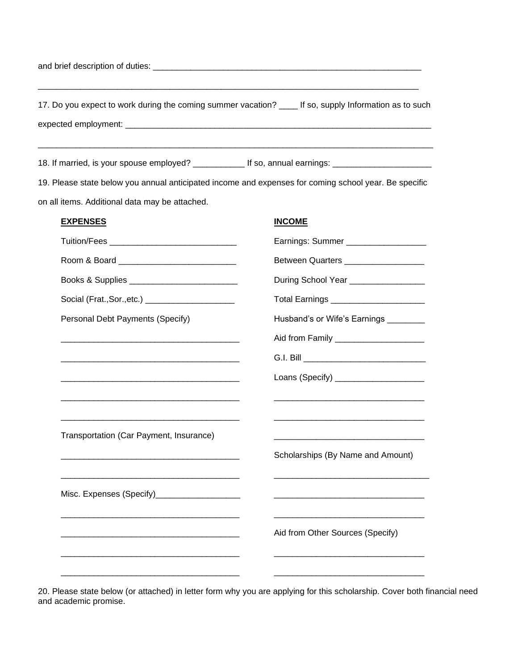and brief description of duties: \_\_\_\_\_\_\_\_\_\_\_\_\_\_\_\_\_\_\_\_\_\_\_\_\_\_\_\_\_\_\_\_\_\_\_\_\_\_\_\_\_\_\_\_\_\_\_\_\_\_\_\_\_\_\_\_\_

17. Do you expect to work during the coming summer vacation? \_\_\_\_ If so, supply Information as to such expected employment: \_\_\_\_\_\_\_\_\_\_\_\_\_\_\_\_\_\_\_\_\_\_\_\_\_\_\_\_\_\_\_\_\_\_\_\_\_\_\_\_\_\_\_\_\_\_\_\_\_\_\_\_\_\_\_\_\_\_\_\_\_\_\_\_\_

\_\_\_\_\_\_\_\_\_\_\_\_\_\_\_\_\_\_\_\_\_\_\_\_\_\_\_\_\_\_\_\_\_\_\_\_\_\_\_\_\_\_\_\_\_\_\_\_\_\_\_\_\_\_\_\_\_\_\_\_\_\_\_\_\_\_\_\_\_\_\_\_\_\_\_\_\_\_\_\_\_\_\_\_

\_\_\_\_\_\_\_\_\_\_\_\_\_\_\_\_\_\_\_\_\_\_\_\_\_\_\_\_\_\_\_\_\_\_\_\_\_\_\_\_\_\_\_\_\_\_\_\_\_\_\_\_\_\_\_\_\_\_\_\_\_\_\_\_\_\_\_\_\_\_\_\_\_\_\_\_\_\_\_\_\_

18. If married, is your spouse employed? \_\_\_\_\_\_\_\_\_\_\_\_\_ If so, annual earnings: \_\_\_\_\_\_\_\_\_\_\_\_\_\_\_\_\_\_\_\_\_

19. Please state below you annual anticipated income and expenses for coming school year. Be specific on all items. Additional data may be attached.

#### **EXPENSES INCOME**

|                                                                                                                       | Earnings: Summer ___________________    |  |
|-----------------------------------------------------------------------------------------------------------------------|-----------------------------------------|--|
|                                                                                                                       | Between Quarters ___________________    |  |
|                                                                                                                       | During School Year _________________    |  |
| Social (Frat., Sor., etc.) __________________________                                                                 | Total Earnings ________________________ |  |
| Personal Debt Payments (Specify)                                                                                      | Husband's or Wife's Earnings _______    |  |
|                                                                                                                       | Aid from Family _______________________ |  |
|                                                                                                                       |                                         |  |
|                                                                                                                       | Loans (Specify) _______________________ |  |
|                                                                                                                       |                                         |  |
|                                                                                                                       |                                         |  |
| Transportation (Car Payment, Insurance)                                                                               |                                         |  |
|                                                                                                                       | Scholarships (By Name and Amount)       |  |
|                                                                                                                       |                                         |  |
| Misc. Expenses (Specify)_____________________                                                                         |                                         |  |
|                                                                                                                       |                                         |  |
| <u> 1989 - Johann Barn, mars ann an t-Amhain ann an t-Amhain ann an t-Amhain ann an t-Amhain an t-Amhain an t-Amh</u> | Aid from Other Sources (Specify)        |  |
|                                                                                                                       |                                         |  |
|                                                                                                                       |                                         |  |

20. Please state below (or attached) in letter form why you are applying for this scholarship. Cover both financial need and academic promise.